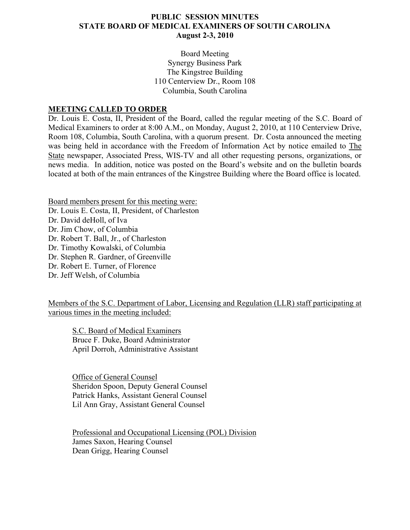## **PUBLIC SESSION MINUTES STATE BOARD OF MEDICAL EXAMINERS OF SOUTH CAROLINA August 2-3, 2010**

Board Meeting Synergy Business Park The Kingstree Building 110 Centerview Dr., Room 108 Columbia, South Carolina

#### **MEETING CALLED TO ORDER**

Dr. Louis E. Costa, II, President of the Board, called the regular meeting of the S.C. Board of Medical Examiners to order at 8:00 A.M., on Monday, August 2, 2010, at 110 Centerview Drive, Room 108, Columbia, South Carolina, with a quorum present. Dr. Costa announced the meeting was being held in accordance with the Freedom of Information Act by notice emailed to The State newspaper, Associated Press, WIS-TV and all other requesting persons, organizations, or news media. In addition, notice was posted on the Board's website and on the bulletin boards located at both of the main entrances of the Kingstree Building where the Board office is located.

Board members present for this meeting were: Dr. Louis E. Costa, II, President, of Charleston Dr. David deHoll, of Iva Dr. Jim Chow, of Columbia Dr. Robert T. Ball, Jr., of Charleston Dr. Timothy Kowalski, of Columbia Dr. Stephen R. Gardner, of Greenville Dr. Robert E. Turner, of Florence Dr. Jeff Welsh, of Columbia

Members of the S.C. Department of Labor, Licensing and Regulation (LLR) staff participating at various times in the meeting included:

S.C. Board of Medical Examiners Bruce F. Duke, Board Administrator April Dorroh, Administrative Assistant

 Office of General Counsel Sheridon Spoon, Deputy General Counsel Patrick Hanks, Assistant General Counsel Lil Ann Gray, Assistant General Counsel

Professional and Occupational Licensing (POL) Division James Saxon, Hearing Counsel Dean Grigg, Hearing Counsel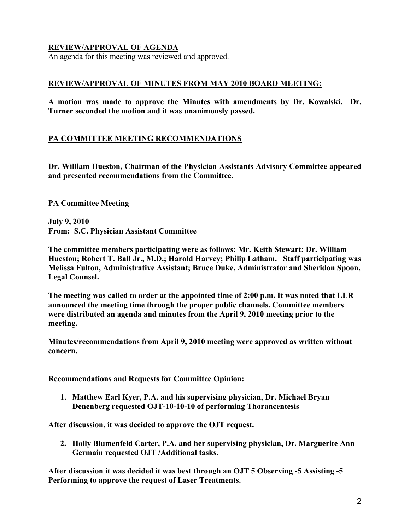# **REVIEW/APPROVAL OF AGENDA**

An agenda for this meeting was reviewed and approved.

## **REVIEW/APPROVAL OF MINUTES FROM MAY 2010 BOARD MEETING:**

 $\mathcal{L}_\mathcal{L} = \{ \mathcal{L}_\mathcal{L} = \{ \mathcal{L}_\mathcal{L} = \{ \mathcal{L}_\mathcal{L} = \{ \mathcal{L}_\mathcal{L} = \{ \mathcal{L}_\mathcal{L} = \{ \mathcal{L}_\mathcal{L} = \{ \mathcal{L}_\mathcal{L} = \{ \mathcal{L}_\mathcal{L} = \{ \mathcal{L}_\mathcal{L} = \{ \mathcal{L}_\mathcal{L} = \{ \mathcal{L}_\mathcal{L} = \{ \mathcal{L}_\mathcal{L} = \{ \mathcal{L}_\mathcal{L} = \{ \mathcal{L}_\mathcal{$ 

## **A motion was made to approve the Minutes with amendments by Dr. Kowalski. Dr. Turner seconded the motion and it was unanimously passed.**

## **PA COMMITTEE MEETING RECOMMENDATIONS**

**Dr. William Hueston, Chairman of the Physician Assistants Advisory Committee appeared and presented recommendations from the Committee.** 

**PA Committee Meeting** 

**July 9, 2010 From: S.C. Physician Assistant Committee** 

**The committee members participating were as follows: Mr. Keith Stewart; Dr. William Hueston; Robert T. Ball Jr., M.D.; Harold Harvey; Philip Latham. Staff participating was Melissa Fulton, Administrative Assistant; Bruce Duke, Administrator and Sheridon Spoon, Legal Counsel.** 

**The meeting was called to order at the appointed time of 2:00 p.m. It was noted that LLR announced the meeting time through the proper public channels. Committee members were distributed an agenda and minutes from the April 9, 2010 meeting prior to the meeting.** 

**Minutes/recommendations from April 9, 2010 meeting were approved as written without concern.** 

**Recommendations and Requests for Committee Opinion:** 

**1. Matthew Earl Kyer, P.A. and his supervising physician, Dr. Michael Bryan Denenberg requested OJT-10-10-10 of performing Thorancentesis** 

**After discussion, it was decided to approve the OJT request.** 

**2. Holly Blumenfeld Carter, P.A. and her supervising physician, Dr. Marguerite Ann Germain requested OJT /Additional tasks.** 

**After discussion it was decided it was best through an OJT 5 Observing -5 Assisting -5 Performing to approve the request of Laser Treatments.**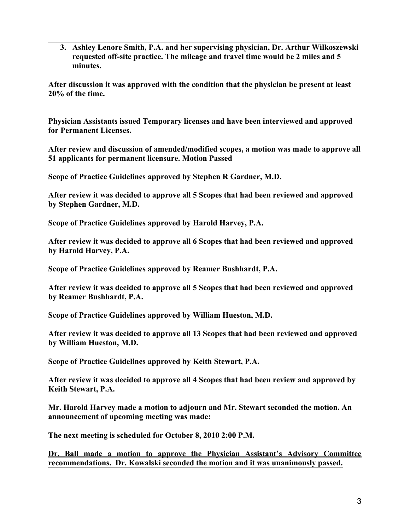**3. Ashley Lenore Smith, P.A. and her supervising physician, Dr. Arthur Wilkoszewski requested off-site practice. The mileage and travel time would be 2 miles and 5 minutes.** 

**After discussion it was approved with the condition that the physician be present at least 20% of the time.** 

 $\mathcal{L}_\mathcal{L} = \{ \mathcal{L}_\mathcal{L} = \{ \mathcal{L}_\mathcal{L} = \{ \mathcal{L}_\mathcal{L} = \{ \mathcal{L}_\mathcal{L} = \{ \mathcal{L}_\mathcal{L} = \{ \mathcal{L}_\mathcal{L} = \{ \mathcal{L}_\mathcal{L} = \{ \mathcal{L}_\mathcal{L} = \{ \mathcal{L}_\mathcal{L} = \{ \mathcal{L}_\mathcal{L} = \{ \mathcal{L}_\mathcal{L} = \{ \mathcal{L}_\mathcal{L} = \{ \mathcal{L}_\mathcal{L} = \{ \mathcal{L}_\mathcal{$ 

**Physician Assistants issued Temporary licenses and have been interviewed and approved for Permanent Licenses.** 

**After review and discussion of amended/modified scopes, a motion was made to approve all 51 applicants for permanent licensure. Motion Passed** 

**Scope of Practice Guidelines approved by Stephen R Gardner, M.D.** 

**After review it was decided to approve all 5 Scopes that had been reviewed and approved by Stephen Gardner, M.D.** 

**Scope of Practice Guidelines approved by Harold Harvey, P.A.** 

**After review it was decided to approve all 6 Scopes that had been reviewed and approved by Harold Harvey, P.A.** 

**Scope of Practice Guidelines approved by Reamer Bushhardt, P.A.** 

**After review it was decided to approve all 5 Scopes that had been reviewed and approved by Reamer Bushhardt, P.A.** 

**Scope of Practice Guidelines approved by William Hueston, M.D.** 

**After review it was decided to approve all 13 Scopes that had been reviewed and approved by William Hueston, M.D.** 

**Scope of Practice Guidelines approved by Keith Stewart, P.A.** 

**After review it was decided to approve all 4 Scopes that had been review and approved by Keith Stewart, P.A.** 

**Mr. Harold Harvey made a motion to adjourn and Mr. Stewart seconded the motion. An announcement of upcoming meeting was made:** 

**The next meeting is scheduled for October 8, 2010 2:00 P.M.** 

**Dr. Ball made a motion to approve the Physician Assistant's Advisory Committee recommendations. Dr. Kowalski seconded the motion and it was unanimously passed.**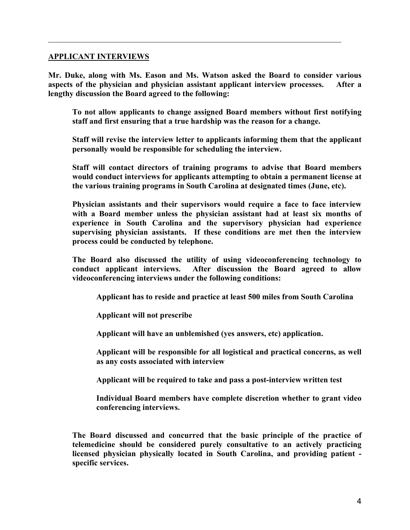#### **APPLICANT INTERVIEWS**

**Mr. Duke, along with Ms. Eason and Ms. Watson asked the Board to consider various aspects of the physician and physician assistant applicant interview processes. After a lengthy discussion the Board agreed to the following:** 

 $\mathcal{L}_\mathcal{L} = \{ \mathcal{L}_\mathcal{L} = \{ \mathcal{L}_\mathcal{L} = \{ \mathcal{L}_\mathcal{L} = \{ \mathcal{L}_\mathcal{L} = \{ \mathcal{L}_\mathcal{L} = \{ \mathcal{L}_\mathcal{L} = \{ \mathcal{L}_\mathcal{L} = \{ \mathcal{L}_\mathcal{L} = \{ \mathcal{L}_\mathcal{L} = \{ \mathcal{L}_\mathcal{L} = \{ \mathcal{L}_\mathcal{L} = \{ \mathcal{L}_\mathcal{L} = \{ \mathcal{L}_\mathcal{L} = \{ \mathcal{L}_\mathcal{$ 

**To not allow applicants to change assigned Board members without first notifying staff and first ensuring that a true hardship was the reason for a change.** 

**Staff will revise the interview letter to applicants informing them that the applicant personally would be responsible for scheduling the interview.** 

**Staff will contact directors of training programs to advise that Board members would conduct interviews for applicants attempting to obtain a permanent license at the various training programs in South Carolina at designated times (June, etc).** 

**Physician assistants and their supervisors would require a face to face interview with a Board member unless the physician assistant had at least six months of experience in South Carolina and the supervisory physician had experience supervising physician assistants. If these conditions are met then the interview process could be conducted by telephone.** 

**The Board also discussed the utility of using videoconferencing technology to conduct applicant interviews. After discussion the Board agreed to allow videoconferencing interviews under the following conditions:** 

 **Applicant has to reside and practice at least 500 miles from South Carolina** 

 **Applicant will not prescribe** 

 **Applicant will have an unblemished (yes answers, etc) application.** 

**Applicant will be responsible for all logistical and practical concerns, as well as any costs associated with interview** 

 **Applicant will be required to take and pass a post-interview written test** 

**Individual Board members have complete discretion whether to grant video conferencing interviews.** 

**The Board discussed and concurred that the basic principle of the practice of telemedicine should be considered purely consultative to an actively practicing licensed physician physically located in South Carolina, and providing patient specific services.**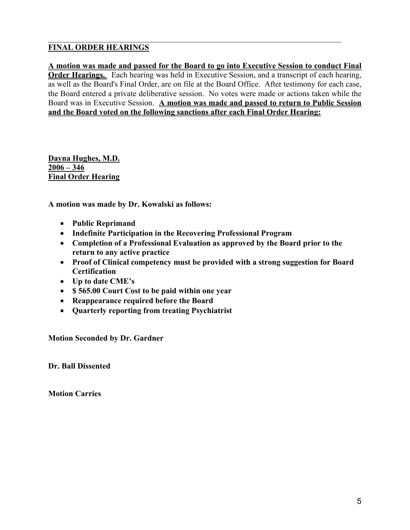# **FINAL ORDER HEARINGS**

**A motion was made and passed for the Board to go into Executive Session to conduct Final Order Hearings.** Each hearing was held in Executive Session, and a transcript of each hearing, as well as the Board's Final Order, are on file at the Board Office. After testimony for each case, the Board entered a private deliberative session. No votes were made or actions taken while the Board was in Executive Session. **A motion was made and passed to return to Public Session and the Board voted on the following sanctions after each Final Order Hearing:**

 $\mathcal{L}_\mathcal{L} = \{ \mathcal{L}_\mathcal{L} = \{ \mathcal{L}_\mathcal{L} = \{ \mathcal{L}_\mathcal{L} = \{ \mathcal{L}_\mathcal{L} = \{ \mathcal{L}_\mathcal{L} = \{ \mathcal{L}_\mathcal{L} = \{ \mathcal{L}_\mathcal{L} = \{ \mathcal{L}_\mathcal{L} = \{ \mathcal{L}_\mathcal{L} = \{ \mathcal{L}_\mathcal{L} = \{ \mathcal{L}_\mathcal{L} = \{ \mathcal{L}_\mathcal{L} = \{ \mathcal{L}_\mathcal{L} = \{ \mathcal{L}_\mathcal{$ 

**Dayna Hughes, M.D. 2006 – 346 Final Order Hearing**

**A motion was made by Dr. Kowalski as follows:** 

- **Public Reprimand**
- **Indefinite Participation in the Recovering Professional Program**
- **Completion of a Professional Evaluation as approved by the Board prior to the return to any active practice**
- **Proof of Clinical competency must be provided with a strong suggestion for Board Certification**
- **Up to date CME's**
- **\$ 565.00 Court Cost to be paid within one year**
- **Reappearance required before the Board**
- **Quarterly reporting from treating Psychiatrist**

**Motion Seconded by Dr. Gardner** 

**Dr. Ball Dissented** 

**Motion Carries**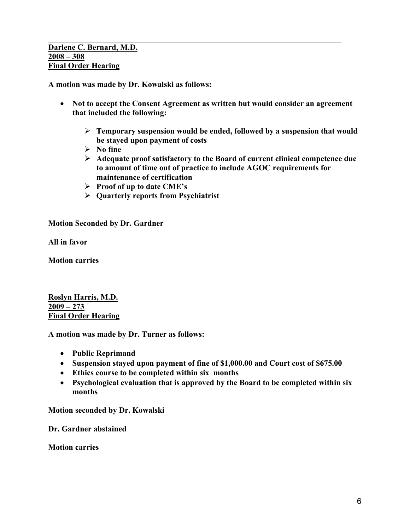**A motion was made by Dr. Kowalski as follows:** 

• **Not to accept the Consent Agreement as written but would consider an agreement that included the following:** 

 $\mathcal{L}_\mathcal{L} = \{ \mathcal{L}_\mathcal{L} = \{ \mathcal{L}_\mathcal{L} = \{ \mathcal{L}_\mathcal{L} = \{ \mathcal{L}_\mathcal{L} = \{ \mathcal{L}_\mathcal{L} = \{ \mathcal{L}_\mathcal{L} = \{ \mathcal{L}_\mathcal{L} = \{ \mathcal{L}_\mathcal{L} = \{ \mathcal{L}_\mathcal{L} = \{ \mathcal{L}_\mathcal{L} = \{ \mathcal{L}_\mathcal{L} = \{ \mathcal{L}_\mathcal{L} = \{ \mathcal{L}_\mathcal{L} = \{ \mathcal{L}_\mathcal{$ 

- ¾ **Temporary suspension would be ended, followed by a suspension that would be stayed upon payment of costs**
- ¾ **No fine**
- ¾ **Adequate proof satisfactory to the Board of current clinical competence due to amount of time out of practice to include AGOC requirements for maintenance of certification**
- ¾ **Proof of up to date CME's**
- ¾ **Quarterly reports from Psychiatrist**

**Motion Seconded by Dr. Gardner** 

**All in favor** 

**Motion carries** 

**Roslyn Harris, M.D. 2009 – 273 Final Order Hearing**

**A motion was made by Dr. Turner as follows:** 

- **Public Reprimand**
- **Suspension stayed upon payment of fine of \$1,000.00 and Court cost of \$675.00**
- **Ethics course to be completed within six months**
- **Psychological evaluation that is approved by the Board to be completed within six months**

**Motion seconded by Dr. Kowalski** 

**Dr. Gardner abstained** 

**Motion carries**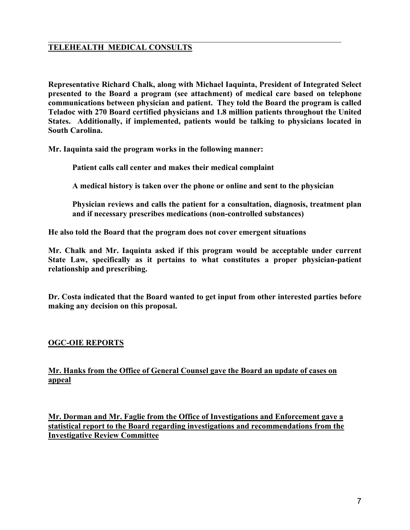# **TELEHEALTH MEDICAL CONSULTS**

**Representative Richard Chalk, along with Michael Iaquinta, President of Integrated Select presented to the Board a program (see attachment) of medical care based on telephone communications between physician and patient. They told the Board the program is called Teladoc with 270 Board certified physicians and 1.8 million patients throughout the United States. Additionally, if implemented, patients would be talking to physicians located in South Carolina.** 

 $\mathcal{L}_\mathcal{L} = \{ \mathcal{L}_\mathcal{L} = \{ \mathcal{L}_\mathcal{L} = \{ \mathcal{L}_\mathcal{L} = \{ \mathcal{L}_\mathcal{L} = \{ \mathcal{L}_\mathcal{L} = \{ \mathcal{L}_\mathcal{L} = \{ \mathcal{L}_\mathcal{L} = \{ \mathcal{L}_\mathcal{L} = \{ \mathcal{L}_\mathcal{L} = \{ \mathcal{L}_\mathcal{L} = \{ \mathcal{L}_\mathcal{L} = \{ \mathcal{L}_\mathcal{L} = \{ \mathcal{L}_\mathcal{L} = \{ \mathcal{L}_\mathcal{$ 

**Mr. Iaquinta said the program works in the following manner:** 

 **Patient calls call center and makes their medical complaint** 

 **A medical history is taken over the phone or online and sent to the physician** 

**Physician reviews and calls the patient for a consultation, diagnosis, treatment plan and if necessary prescribes medications (non-controlled substances)** 

**He also told the Board that the program does not cover emergent situations** 

**Mr. Chalk and Mr. Iaquinta asked if this program would be acceptable under current State Law, specifically as it pertains to what constitutes a proper physician-patient relationship and prescribing.** 

**Dr. Costa indicated that the Board wanted to get input from other interested parties before making any decision on this proposal.** 

# **OGC-OIE REPORTS**

**Mr. Hanks from the Office of General Counsel gave the Board an update of cases on appeal** 

**Mr. Dorman and Mr. Faglie from the Office of Investigations and Enforcement gave a statistical report to the Board regarding investigations and recommendations from the Investigative Review Committee**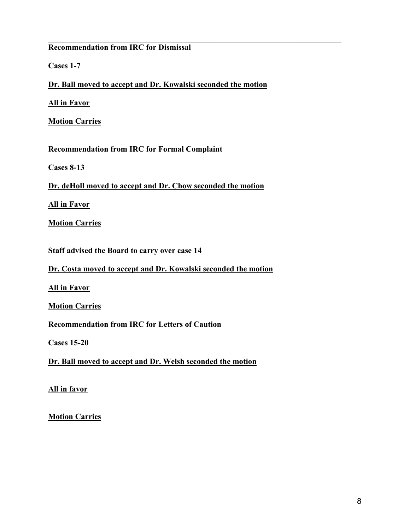# **Recommendation from IRC for Dismissal**

**Cases 1-7** 

**Dr. Ball moved to accept and Dr. Kowalski seconded the motion**

 $\mathcal{L}_\mathcal{L} = \{ \mathcal{L}_\mathcal{L} = \{ \mathcal{L}_\mathcal{L} = \{ \mathcal{L}_\mathcal{L} = \{ \mathcal{L}_\mathcal{L} = \{ \mathcal{L}_\mathcal{L} = \{ \mathcal{L}_\mathcal{L} = \{ \mathcal{L}_\mathcal{L} = \{ \mathcal{L}_\mathcal{L} = \{ \mathcal{L}_\mathcal{L} = \{ \mathcal{L}_\mathcal{L} = \{ \mathcal{L}_\mathcal{L} = \{ \mathcal{L}_\mathcal{L} = \{ \mathcal{L}_\mathcal{L} = \{ \mathcal{L}_\mathcal{$ 

**All in Favor**

**Motion Carries**

**Recommendation from IRC for Formal Complaint** 

**Cases 8-13** 

**Dr. deHoll moved to accept and Dr. Chow seconded the motion**

**All in Favor**

**Motion Carries**

**Staff advised the Board to carry over case 14** 

**Dr. Costa moved to accept and Dr. Kowalski seconded the motion**

**All in Favor**

**Motion Carries**

**Recommendation from IRC for Letters of Caution** 

**Cases 15-20** 

**Dr. Ball moved to accept and Dr. Welsh seconded the motion**

**All in favor**

**Motion Carries**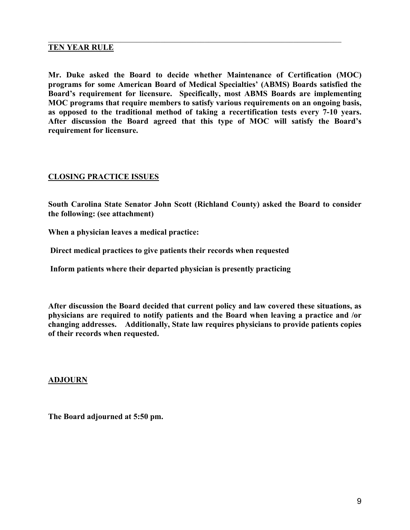## **TEN YEAR RULE**

**Mr. Duke asked the Board to decide whether Maintenance of Certification (MOC) programs for some American Board of Medical Specialties' (ABMS) Boards satisfied the Board's requirement for licensure. Specifically, most ABMS Boards are implementing MOC programs that require members to satisfy various requirements on an ongoing basis, as opposed to the traditional method of taking a recertification tests every 7-10 years. After discussion the Board agreed that this type of MOC will satisfy the Board's requirement for licensure.** 

 $\mathcal{L}_\mathcal{L} = \{ \mathcal{L}_\mathcal{L} = \{ \mathcal{L}_\mathcal{L} = \{ \mathcal{L}_\mathcal{L} = \{ \mathcal{L}_\mathcal{L} = \{ \mathcal{L}_\mathcal{L} = \{ \mathcal{L}_\mathcal{L} = \{ \mathcal{L}_\mathcal{L} = \{ \mathcal{L}_\mathcal{L} = \{ \mathcal{L}_\mathcal{L} = \{ \mathcal{L}_\mathcal{L} = \{ \mathcal{L}_\mathcal{L} = \{ \mathcal{L}_\mathcal{L} = \{ \mathcal{L}_\mathcal{L} = \{ \mathcal{L}_\mathcal{$ 

## **CLOSING PRACTICE ISSUES**

**South Carolina State Senator John Scott (Richland County) asked the Board to consider the following: (see attachment)** 

**When a physician leaves a medical practice:** 

 **Direct medical practices to give patients their records when requested** 

 **Inform patients where their departed physician is presently practicing** 

**After discussion the Board decided that current policy and law covered these situations, as physicians are required to notify patients and the Board when leaving a practice and /or changing addresses. Additionally, State law requires physicians to provide patients copies of their records when requested.** 

#### **ADJOURN**

**The Board adjourned at 5:50 pm.**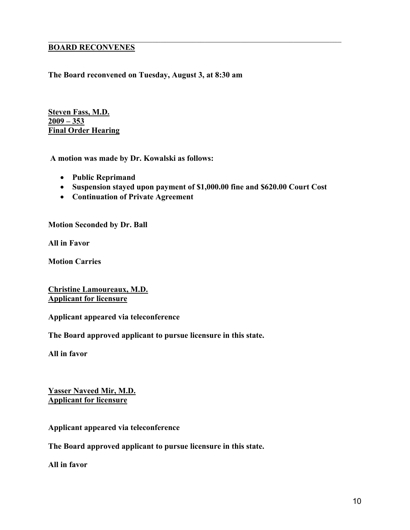# **BOARD RECONVENES**

## **The Board reconvened on Tuesday, August 3, at 8:30 am**

**Steven Fass, M.D. 2009 – 353 Final Order Hearing**

 **A motion was made by Dr. Kowalski as follows:** 

- **Public Reprimand**
- **Suspension stayed upon payment of \$1,000.00 fine and \$620.00 Court Cost**

 $\mathcal{L}_\mathcal{L} = \{ \mathcal{L}_\mathcal{L} = \{ \mathcal{L}_\mathcal{L} = \{ \mathcal{L}_\mathcal{L} = \{ \mathcal{L}_\mathcal{L} = \{ \mathcal{L}_\mathcal{L} = \{ \mathcal{L}_\mathcal{L} = \{ \mathcal{L}_\mathcal{L} = \{ \mathcal{L}_\mathcal{L} = \{ \mathcal{L}_\mathcal{L} = \{ \mathcal{L}_\mathcal{L} = \{ \mathcal{L}_\mathcal{L} = \{ \mathcal{L}_\mathcal{L} = \{ \mathcal{L}_\mathcal{L} = \{ \mathcal{L}_\mathcal{$ 

• **Continuation of Private Agreement** 

**Motion Seconded by Dr. Ball** 

**All in Favor** 

**Motion Carries** 

**Christine Lamoureaux, M.D. Applicant for licensure**

**Applicant appeared via teleconference** 

**The Board approved applicant to pursue licensure in this state.** 

**All in favor** 

**Yasser Naveed Mir, M.D. Applicant for licensure**

**Applicant appeared via teleconference** 

**The Board approved applicant to pursue licensure in this state.** 

**All in favor**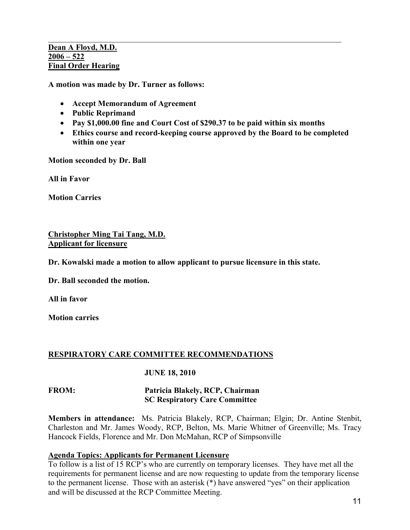#### **Dean A Floyd, M.D. 2006 – 522 Final Order Hearing**

**A motion was made by Dr. Turner as follows:** 

- **Accept Memorandum of Agreement**
- **Public Reprimand**
- **Pay \$1,000.00 fine and Court Cost of \$290.37 to be paid within six months**

 $\mathcal{L}_\mathcal{L} = \{ \mathcal{L}_\mathcal{L} = \{ \mathcal{L}_\mathcal{L} = \{ \mathcal{L}_\mathcal{L} = \{ \mathcal{L}_\mathcal{L} = \{ \mathcal{L}_\mathcal{L} = \{ \mathcal{L}_\mathcal{L} = \{ \mathcal{L}_\mathcal{L} = \{ \mathcal{L}_\mathcal{L} = \{ \mathcal{L}_\mathcal{L} = \{ \mathcal{L}_\mathcal{L} = \{ \mathcal{L}_\mathcal{L} = \{ \mathcal{L}_\mathcal{L} = \{ \mathcal{L}_\mathcal{L} = \{ \mathcal{L}_\mathcal{$ 

• **Ethics course and record-keeping course approved by the Board to be completed within one year** 

**Motion seconded by Dr. Ball** 

**All in Favor** 

**Motion Carries** 

## **Christopher Ming Tai Tang, M.D. Applicant for licensure**

**Dr. Kowalski made a motion to allow applicant to pursue licensure in this state.** 

**Dr. Ball seconded the motion.** 

**All in favor** 

**Motion carries** 

#### **RESPIRATORY CARE COMMITTEE RECOMMENDATIONS**

#### **JUNE 18, 2010**

## **FROM: Patricia Blakely, RCP, Chairman SC Respiratory Care Committee**

**Members in attendance:** Ms. Patricia Blakely, RCP, Chairman; Elgin; Dr. Antine Stenbit, Charleston and Mr. James Woody, RCP, Belton, Ms. Marie Whitner of Greenville; Ms. Tracy Hancock Fields, Florence and Mr. Don McMahan, RCP of Simpsonville

# **Agenda Topics: Applicants for Permanent Licensure**

To follow is a list of 15 RCP's who are currently on temporary licenses. They have met all the requirements for permanent license and are now requesting to update from the temporary license to the permanent license. Those with an asterisk (\*) have answered "yes" on their application and will be discussed at the RCP Committee Meeting.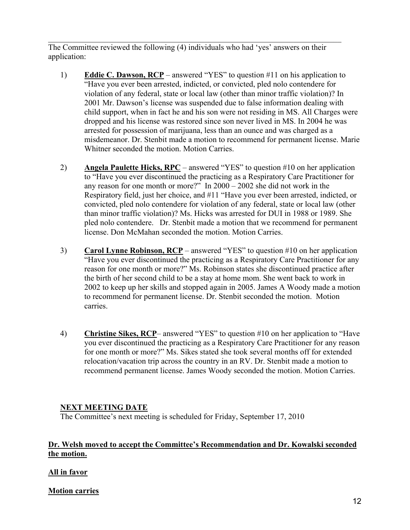The Committee reviewed the following (4) individuals who had 'yes' answers on their application:

 $\mathcal{L}_\mathcal{L} = \{ \mathcal{L}_\mathcal{L} = \{ \mathcal{L}_\mathcal{L} = \{ \mathcal{L}_\mathcal{L} = \{ \mathcal{L}_\mathcal{L} = \{ \mathcal{L}_\mathcal{L} = \{ \mathcal{L}_\mathcal{L} = \{ \mathcal{L}_\mathcal{L} = \{ \mathcal{L}_\mathcal{L} = \{ \mathcal{L}_\mathcal{L} = \{ \mathcal{L}_\mathcal{L} = \{ \mathcal{L}_\mathcal{L} = \{ \mathcal{L}_\mathcal{L} = \{ \mathcal{L}_\mathcal{L} = \{ \mathcal{L}_\mathcal{$ 

- 1) **Eddie C. Dawson, RCP** answered "YES" to question #11 on his application to "Have you ever been arrested, indicted, or convicted, pled nolo contendere for violation of any federal, state or local law (other than minor traffic violation)? In 2001 Mr. Dawson's license was suspended due to false information dealing with child support, when in fact he and his son were not residing in MS. All Charges were dropped and his license was restored since son never lived in MS. In 2004 he was arrested for possession of marijuana, less than an ounce and was charged as a misdemeanor. Dr. Stenbit made a motion to recommend for permanent license. Marie Whitner seconded the motion. Motion Carries.
- 2) **Angela Paulette Hicks, RPC** answered "YES" to question #10 on her application to "Have you ever discontinued the practicing as a Respiratory Care Practitioner for any reason for one month or more?" In 2000 – 2002 she did not work in the Respiratory field, just her choice, and #11 "Have you ever been arrested, indicted, or convicted, pled nolo contendere for violation of any federal, state or local law (other than minor traffic violation)? Ms. Hicks was arrested for DUI in 1988 or 1989. She pled nolo contendere. Dr. Stenbit made a motion that we recommend for permanent license. Don McMahan seconded the motion. Motion Carries.
- 3) **Carol Lynne Robinson, RCP** answered "YES" to question #10 on her application "Have you ever discontinued the practicing as a Respiratory Care Practitioner for any reason for one month or more?" Ms. Robinson states she discontinued practice after the birth of her second child to be a stay at home mom. She went back to work in 2002 to keep up her skills and stopped again in 2005. James A Woody made a motion to recommend for permanent license. Dr. Stenbit seconded the motion. Motion carries.
- 4) **Christine Sikes, RCP** answered "YES" to question #10 on her application to "Have you ever discontinued the practicing as a Respiratory Care Practitioner for any reason for one month or more?" Ms. Sikes stated she took several months off for extended relocation/vacation trip across the country in an RV. Dr. Stenbit made a motion to recommend permanent license. James Woody seconded the motion. Motion Carries.

# **NEXT MEETING DATE**

The Committee's next meeting is scheduled for Friday, September 17, 2010

# **Dr. Welsh moved to accept the Committee's Recommendation and Dr. Kowalski seconded the motion.**

# **All in favor**

**Motion carries**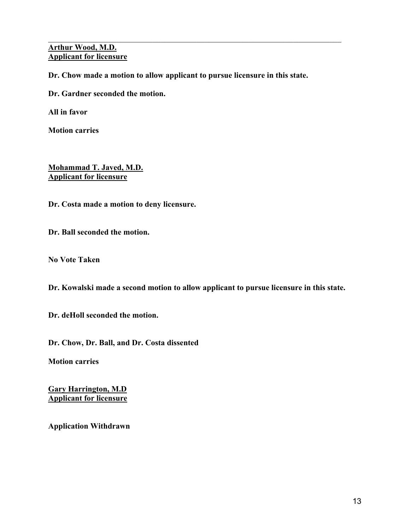## **Arthur Wood, M.D. Applicant for licensure**

**Dr. Chow made a motion to allow applicant to pursue licensure in this state.** 

 $\mathcal{L}_\mathcal{L} = \{ \mathcal{L}_\mathcal{L} = \{ \mathcal{L}_\mathcal{L} = \{ \mathcal{L}_\mathcal{L} = \{ \mathcal{L}_\mathcal{L} = \{ \mathcal{L}_\mathcal{L} = \{ \mathcal{L}_\mathcal{L} = \{ \mathcal{L}_\mathcal{L} = \{ \mathcal{L}_\mathcal{L} = \{ \mathcal{L}_\mathcal{L} = \{ \mathcal{L}_\mathcal{L} = \{ \mathcal{L}_\mathcal{L} = \{ \mathcal{L}_\mathcal{L} = \{ \mathcal{L}_\mathcal{L} = \{ \mathcal{L}_\mathcal{$ 

**Dr. Gardner seconded the motion.** 

**All in favor** 

**Motion carries** 

**Mohammad T. Javed, M.D. Applicant for licensure**

**Dr. Costa made a motion to deny licensure.** 

**Dr. Ball seconded the motion.** 

**No Vote Taken** 

**Dr. Kowalski made a second motion to allow applicant to pursue licensure in this state.** 

**Dr. deHoll seconded the motion.** 

**Dr. Chow, Dr. Ball, and Dr. Costa dissented** 

**Motion carries** 

**Gary Harrington, M.D Applicant for licensure**

**Application Withdrawn**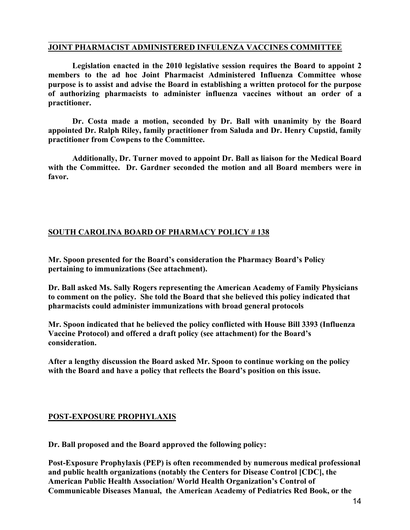#### $\mathcal{L}_\mathcal{L} = \{ \mathcal{L}_\mathcal{L} = \{ \mathcal{L}_\mathcal{L} = \{ \mathcal{L}_\mathcal{L} = \{ \mathcal{L}_\mathcal{L} = \{ \mathcal{L}_\mathcal{L} = \{ \mathcal{L}_\mathcal{L} = \{ \mathcal{L}_\mathcal{L} = \{ \mathcal{L}_\mathcal{L} = \{ \mathcal{L}_\mathcal{L} = \{ \mathcal{L}_\mathcal{L} = \{ \mathcal{L}_\mathcal{L} = \{ \mathcal{L}_\mathcal{L} = \{ \mathcal{L}_\mathcal{L} = \{ \mathcal{L}_\mathcal{$ **JOINT PHARMACIST ADMINISTERED INFULENZA VACCINES COMMITTEE**

**Legislation enacted in the 2010 legislative session requires the Board to appoint 2 members to the ad hoc Joint Pharmacist Administered Influenza Committee whose purpose is to assist and advise the Board in establishing a written protocol for the purpose of authorizing pharmacists to administer influenza vaccines without an order of a practitioner.** 

**Dr. Costa made a motion, seconded by Dr. Ball with unanimity by the Board appointed Dr. Ralph Riley, family practitioner from Saluda and Dr. Henry Cupstid, family practitioner from Cowpens to the Committee.** 

**Additionally, Dr. Turner moved to appoint Dr. Ball as liaison for the Medical Board with the Committee. Dr. Gardner seconded the motion and all Board members were in favor.** 

# **SOUTH CAROLINA BOARD OF PHARMACY POLICY # 138**

**Mr. Spoon presented for the Board's consideration the Pharmacy Board's Policy pertaining to immunizations (See attachment).** 

**Dr. Ball asked Ms. Sally Rogers representing the American Academy of Family Physicians to comment on the policy. She told the Board that she believed this policy indicated that pharmacists could administer immunizations with broad general protocols** 

**Mr. Spoon indicated that he believed the policy conflicted with House Bill 3393 (Influenza Vaccine Protocol) and offered a draft policy (see attachment) for the Board's consideration.** 

**After a lengthy discussion the Board asked Mr. Spoon to continue working on the policy with the Board and have a policy that reflects the Board's position on this issue.** 

# **POST-EXPOSURE PROPHYLAXIS**

**Dr. Ball proposed and the Board approved the following policy:** 

**Post-Exposure Prophylaxis (PEP) is often recommended by numerous medical professional and public health organizations (notably the Centers for Disease Control [CDC], the American Public Health Association/ World Health Organization's Control of Communicable Diseases Manual, the American Academy of Pediatrics Red Book, or the**